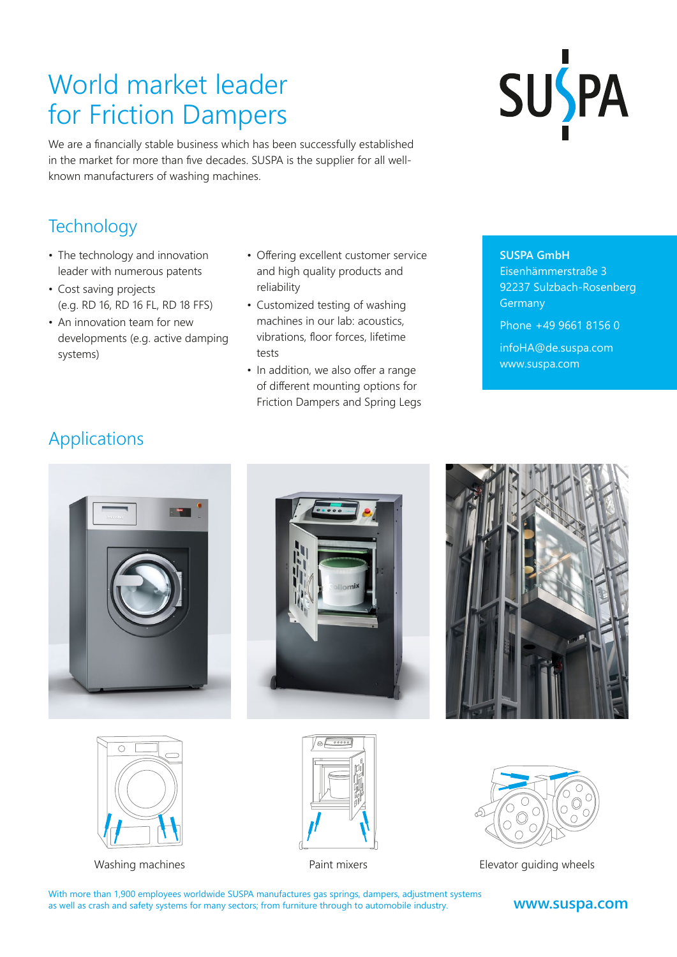## World market leader for Friction Dampers

SUSPA

We are a financially stable business which has been successfully established in the market for more than five decades. SUSPA is the supplier for all wellknown manufacturers of washing machines.

#### **Technology**

- The technology and innovation leader with numerous patents
- Cost saving projects (e.g. RD 16, RD 16 FL, RD 18 FFS)
- An innovation team for new developments (e.g. active damping systems)
- Offering excellent customer service and high quality products and reliability
- Customized testing of washing machines in our lab: acoustics, vibrations, floor forces, lifetime tests
- In addition, we also offer a range of different mounting options for Friction Dampers and Spring Legs

**SUSPA GmbH**

Eisenhämmerstraße 3 92237 Sulzbach-Rosenberg **Germany** Phone +49 9661 8156 0

[infoHA@de.suspa.com](mailto:infoHA%40de.suspa.com?subject=) [www.suspa.com](https://www.suspa.com)

### Applications













Washing machines Paint mixers Elevator guiding wheels

With more than 1,900 employees worldwide SUSPA manufactures gas springs, dampers, adjustment systems as well as crash and safety systems for many sectors; from furniture through to automobile industry.

#### **[www.suspa.com](https://www.suspa.com)**